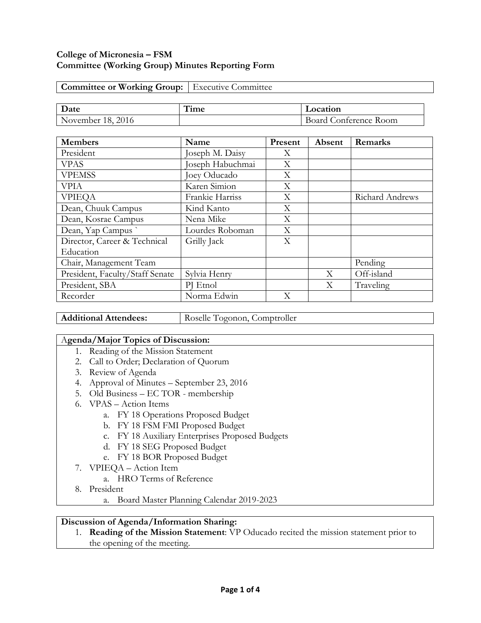### **College of Micronesia – FSM Committee (Working Group) Minutes Reporting Form**

| <b>Committee or Working Group:</b>   Executive Committee |  |
|----------------------------------------------------------|--|
|----------------------------------------------------------|--|

| $\mathbf{\tau}$<br>Date | . ıme | <b>_ocation</b>                                          |  |
|-------------------------|-------|----------------------------------------------------------|--|
| 2016<br>18.<br>November |       | $\overline{\phantom{a}}$<br>- Room<br>onterence<br>Board |  |

| <b>Members</b>                  | Name             | Present | Absent | Remarks         |
|---------------------------------|------------------|---------|--------|-----------------|
| President                       | Joseph M. Daisy  | X       |        |                 |
| <b>VPAS</b>                     | Joseph Habuchmai | X       |        |                 |
| <b>VPEMSS</b>                   | Joey Oducado     | X       |        |                 |
| <b>VPIA</b>                     | Karen Simion     | Χ       |        |                 |
| <b>VPIEQA</b>                   | Frankie Harriss  | X       |        | Richard Andrews |
| Dean, Chuuk Campus              | Kind Kanto       | Χ       |        |                 |
| Dean, Kosrae Campus             | Nena Mike        | X       |        |                 |
| Dean, Yap Campus                | Lourdes Roboman  | X       |        |                 |
| Director, Career & Technical    | Grilly Jack      | X       |        |                 |
| Education                       |                  |         |        |                 |
| Chair, Management Team          |                  |         |        | Pending         |
| President, Faculty/Staff Senate | Sylvia Henry     |         | X      | Off-island      |
| President, SBA                  | PJ Etnol         |         | X      | Traveling       |
| Recorder                        | Norma Edwin      | Χ       |        |                 |

Additional Attendees: Roselle Togonon, Comptroller

#### A**genda/Major Topics of Discussion:**

- 1. Reading of the Mission Statement
- 2. Call to Order; Declaration of Quorum
- 3. Review of Agenda
- 4. Approval of Minutes September 23, 2016
- 5. Old Business EC TOR membership
- 6. VPAS Action Items
	- a. FY 18 Operations Proposed Budget
	- b. FY 18 FSM FMI Proposed Budget
	- c. FY 18 Auxiliary Enterprises Proposed Budgets
	- d. FY 18 SEG Proposed Budget
	- e. FY 18 BOR Proposed Budget
- 7. VPIEQA Action Item
	- a. HRO Terms of Reference
- 8. President
	- a. Board Master Planning Calendar 2019-2023

#### **Discussion of Agenda/Information Sharing:**

1. **Reading of the Mission Statement**: VP Oducado recited the mission statement prior to the opening of the meeting.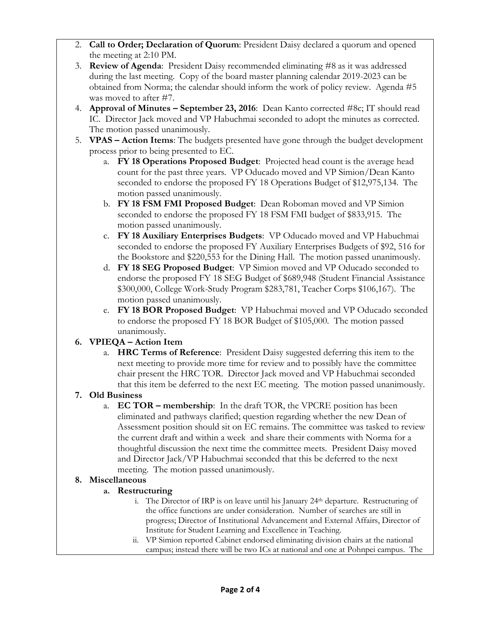- 2. **Call to Order; Declaration of Quorum**: President Daisy declared a quorum and opened the meeting at 2:10 PM.
- 3. **Review of Agenda**: President Daisy recommended eliminating #8 as it was addressed during the last meeting. Copy of the board master planning calendar 2019-2023 can be obtained from Norma; the calendar should inform the work of policy review. Agenda #5 was moved to after #7.
- 4. **Approval of Minutes – September 23, 2016**: Dean Kanto corrected #8c; IT should read IC. Director Jack moved and VP Habuchmai seconded to adopt the minutes as corrected. The motion passed unanimously.
- 5. **VPAS – Action Items**: The budgets presented have gone through the budget development process prior to being presented to EC.
	- a. **FY 18 Operations Proposed Budget**: Projected head count is the average head count for the past three years. VP Oducado moved and VP Simion/Dean Kanto seconded to endorse the proposed FY 18 Operations Budget of \$12,975,134. The motion passed unanimously.
	- b. **FY 18 FSM FMI Proposed Budget**: Dean Roboman moved and VP Simion seconded to endorse the proposed FY 18 FSM FMI budget of \$833,915. The motion passed unanimously.
	- c. **FY 18 Auxiliary Enterprises Budgets**: VP Oducado moved and VP Habuchmai seconded to endorse the proposed FY Auxiliary Enterprises Budgets of \$92, 516 for the Bookstore and \$220,553 for the Dining Hall. The motion passed unanimously.
	- d. **FY 18 SEG Proposed Budget**: VP Simion moved and VP Oducado seconded to endorse the proposed FY 18 SEG Budget of \$689,948 (Student Financial Assistance \$300,000, College Work-Study Program \$283,781, Teacher Corps \$106,167). The motion passed unanimously.
	- e. **FY 18 BOR Proposed Budget**: VP Habuchmai moved and VP Oducado seconded to endorse the proposed FY 18 BOR Budget of \$105,000. The motion passed unanimously.

# **6. VPIEQA – Action Item**

a. **HRC Terms of Reference**: President Daisy suggested deferring this item to the next meeting to provide more time for review and to possibly have the committee chair present the HRC TOR. Director Jack moved and VP Habuchmai seconded that this item be deferred to the next EC meeting. The motion passed unanimously.

# **7. Old Business**

a. **EC TOR – membership**: In the draft TOR, the VPCRE position has been eliminated and pathways clarified; question regarding whether the new Dean of Assessment position should sit on EC remains. The committee was tasked to review the current draft and within a week and share their comments with Norma for a thoughtful discussion the next time the committee meets. President Daisy moved and Director Jack/VP Habuchmai seconded that this be deferred to the next meeting. The motion passed unanimously.

# **8. Miscellaneous**

# **a. Restructuring**

- i. The Director of IRP is on leave until his January  $24<sup>th</sup>$  departure. Restructuring of the office functions are under consideration. Number of searches are still in progress; Director of Institutional Advancement and External Affairs, Director of Institute for Student Learning and Excellence in Teaching.
- ii. VP Simion reported Cabinet endorsed eliminating division chairs at the national campus; instead there will be two ICs at national and one at Pohnpei campus. The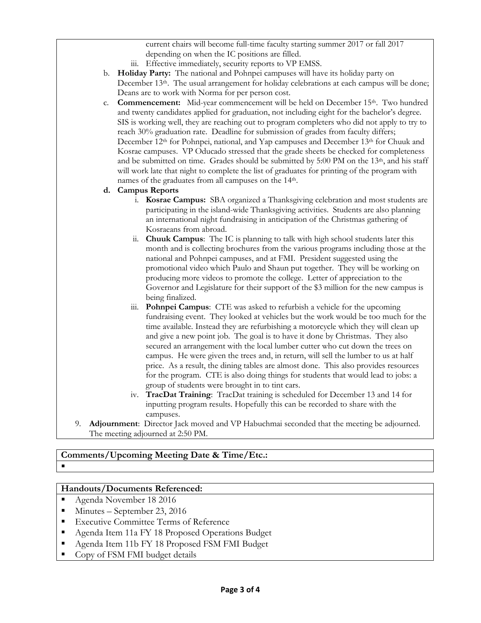current chairs will become full-time faculty starting summer 2017 or fall 2017 depending on when the IC positions are filled.

- iii. Effective immediately, security reports to VP EMSS.
- b. **Holiday Party:** The national and Pohnpei campuses will have its holiday party on December 13<sup>th</sup>. The usual arrangement for holiday celebrations at each campus will be done; Deans are to work with Norma for per person cost.
- c. **Commencement:** Mid-year commencement will be held on December 15th. Two hundred and twenty candidates applied for graduation, not including eight for the bachelor's degree. SIS is working well, they are reaching out to program completers who did not apply to try to reach 30% graduation rate. Deadline for submission of grades from faculty differs; December 12<sup>th</sup> for Pohnpei, national, and Yap campuses and December 13<sup>th</sup> for Chuuk and Kosrae campuses. VP Oducado stressed that the grade sheets be checked for completeness and be submitted on time. Grades should be submitted by 5:00 PM on the  $13<sup>th</sup>$ , and his staff will work late that night to complete the list of graduates for printing of the program with names of the graduates from all campuses on the 14th.
- **d. Campus Reports**
	- i. **Kosrae Campus:** SBA organized a Thanksgiving celebration and most students are participating in the island-wide Thanksgiving activities. Students are also planning an international night fundraising in anticipation of the Christmas gathering of Kosraeans from abroad.
	- ii. **Chuuk Campus**: The IC is planning to talk with high school students later this month and is collecting brochures from the various programs including those at the national and Pohnpei campuses, and at FMI. President suggested using the promotional video which Paulo and Shaun put together. They will be working on producing more videos to promote the college. Letter of appreciation to the Governor and Legislature for their support of the \$3 million for the new campus is being finalized.
	- iii. **Pohnpei Campus**: CTE was asked to refurbish a vehicle for the upcoming fundraising event. They looked at vehicles but the work would be too much for the time available. Instead they are refurbishing a motorcycle which they will clean up and give a new point job. The goal is to have it done by Christmas. They also secured an arrangement with the local lumber cutter who cut down the trees on campus. He were given the trees and, in return, will sell the lumber to us at half price. As a result, the dining tables are almost done. This also provides resources for the program. CTE is also doing things for students that would lead to jobs: a group of students were brought in to tint cars.
	- iv. **TracDat Training**: TracDat training is scheduled for December 13 and 14 for inputting program results. Hopefully this can be recorded to share with the campuses.
- 9. **Adjournment**: Director Jack moved and VP Habuchmai seconded that the meeting be adjourned. The meeting adjourned at 2:50 PM.

# **Comments/Upcoming Meeting Date & Time/Etc.:**

 $\blacksquare$ 

### **Handouts/Documents Referenced:**

- Agenda November 18 2016
- $\blacksquare$  Minutes September 23, 2016
- **Executive Committee Terms of Reference**
- Agenda Item 11a FY 18 Proposed Operations Budget
- Agenda Item 11b FY 18 Proposed FSM FMI Budget
- Copy of FSM FMI budget details